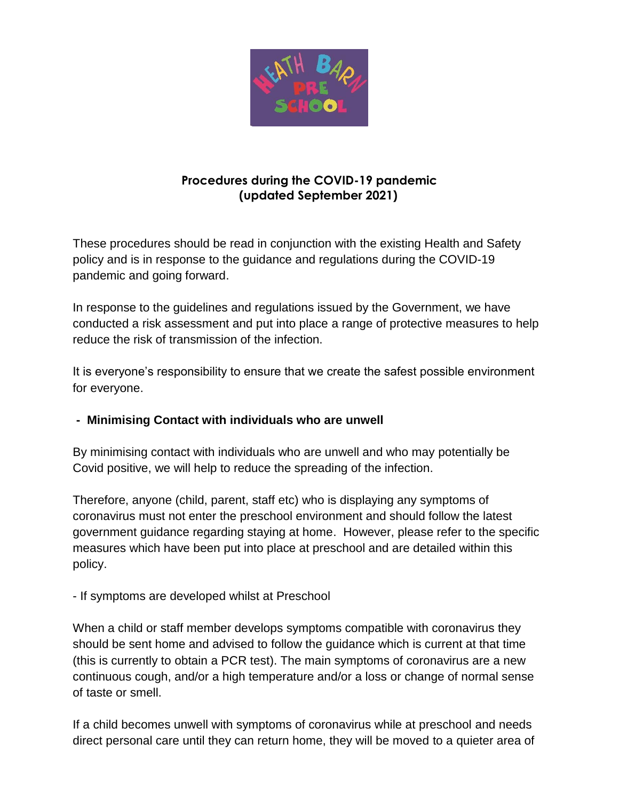

# **Procedures during the COVID-19 pandemic (updated September 2021)**

These procedures should be read in conjunction with the existing Health and Safety policy and is in response to the guidance and regulations during the COVID-19 pandemic and going forward.

In response to the guidelines and regulations issued by the Government, we have conducted a risk assessment and put into place a range of protective measures to help reduce the risk of transmission of the infection.

It is everyone's responsibility to ensure that we create the safest possible environment for everyone.

# **- Minimising Contact with individuals who are unwell**

By minimising contact with individuals who are unwell and who may potentially be Covid positive, we will help to reduce the spreading of the infection.

Therefore, anyone (child, parent, staff etc) who is displaying any symptoms of coronavirus must not enter the preschool environment and should follow the latest government guidance regarding staying at home. However, please refer to the specific measures which have been put into place at preschool and are detailed within this policy.

- If symptoms are developed whilst at Preschool

When a child or staff member develops symptoms compatible with coronavirus they should be sent home and advised to follow the guidance which is current at that time (this is currently to obtain a PCR test). The main symptoms of coronavirus are a new continuous cough, and/or a high temperature and/or a loss or change of normal sense of taste or smell.

If a child becomes unwell with symptoms of coronavirus while at preschool and needs direct personal care until they can return home, they will be moved to a quieter area of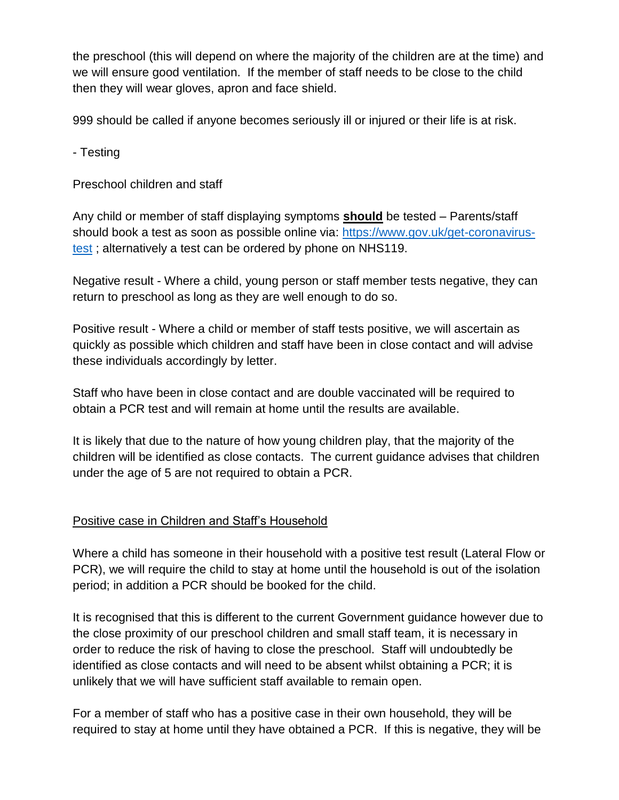the preschool (this will depend on where the majority of the children are at the time) and we will ensure good ventilation. If the member of staff needs to be close to the child then they will wear gloves, apron and face shield.

999 should be called if anyone becomes seriously ill or injured or their life is at risk.

- Testing

Preschool children and staff

Any child or member of staff displaying symptoms **should** be tested – Parents/staff should book a test as soon as possible online via: [https://www.gov.uk/get-coronavirus](https://www.gov.uk/get-coronavirus-test)[test](https://www.gov.uk/get-coronavirus-test); alternatively a test can be ordered by phone on NHS119.

Negative result - Where a child, young person or staff member tests negative, they can return to preschool as long as they are well enough to do so.

Positive result - Where a child or member of staff tests positive, we will ascertain as quickly as possible which children and staff have been in close contact and will advise these individuals accordingly by letter.

Staff who have been in close contact and are double vaccinated will be required to obtain a PCR test and will remain at home until the results are available.

It is likely that due to the nature of how young children play, that the majority of the children will be identified as close contacts. The current guidance advises that children under the age of 5 are not required to obtain a PCR.

# Positive case in Children and Staff's Household

Where a child has someone in their household with a positive test result (Lateral Flow or PCR), we will require the child to stay at home until the household is out of the isolation period; in addition a PCR should be booked for the child.

It is recognised that this is different to the current Government guidance however due to the close proximity of our preschool children and small staff team, it is necessary in order to reduce the risk of having to close the preschool. Staff will undoubtedly be identified as close contacts and will need to be absent whilst obtaining a PCR; it is unlikely that we will have sufficient staff available to remain open.

For a member of staff who has a positive case in their own household, they will be required to stay at home until they have obtained a PCR. If this is negative, they will be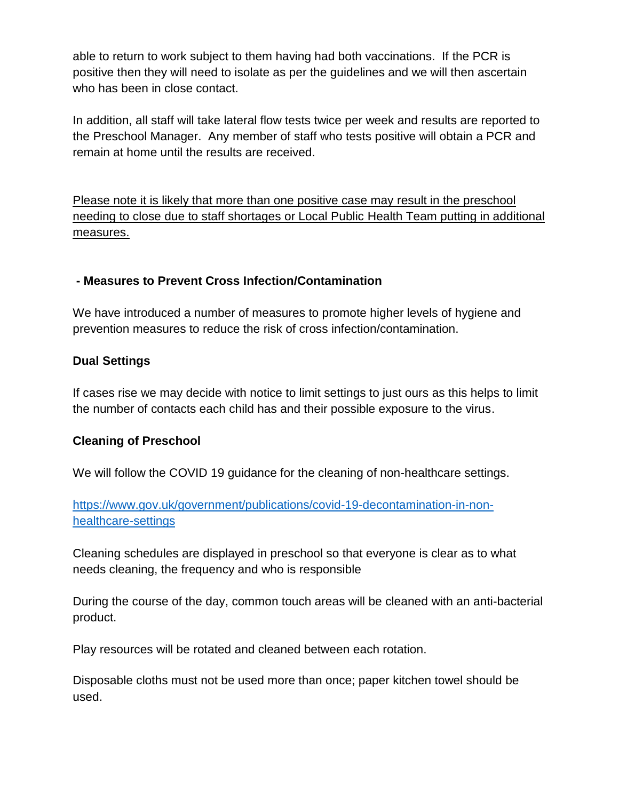able to return to work subject to them having had both vaccinations. If the PCR is positive then they will need to isolate as per the guidelines and we will then ascertain who has been in close contact.

In addition, all staff will take lateral flow tests twice per week and results are reported to the Preschool Manager. Any member of staff who tests positive will obtain a PCR and remain at home until the results are received.

Please note it is likely that more than one positive case may result in the preschool needing to close due to staff shortages or Local Public Health Team putting in additional measures.

### **- Measures to Prevent Cross Infection/Contamination**

We have introduced a number of measures to promote higher levels of hygiene and prevention measures to reduce the risk of cross infection/contamination.

### **Dual Settings**

If cases rise we may decide with notice to limit settings to just ours as this helps to limit the number of contacts each child has and their possible exposure to the virus.

### **Cleaning of Preschool**

We will follow the COVID 19 guidance for the cleaning of non-healthcare settings.

[https://www.gov.uk/government/publications/covid-19-decontamination-in-non](https://www.gov.uk/government/publications/covid-19-decontamination-in-non-healthcare-settings)[healthcare-settings](https://www.gov.uk/government/publications/covid-19-decontamination-in-non-healthcare-settings)

Cleaning schedules are displayed in preschool so that everyone is clear as to what needs cleaning, the frequency and who is responsible

During the course of the day, common touch areas will be cleaned with an anti-bacterial product.

Play resources will be rotated and cleaned between each rotation.

Disposable cloths must not be used more than once; paper kitchen towel should be used.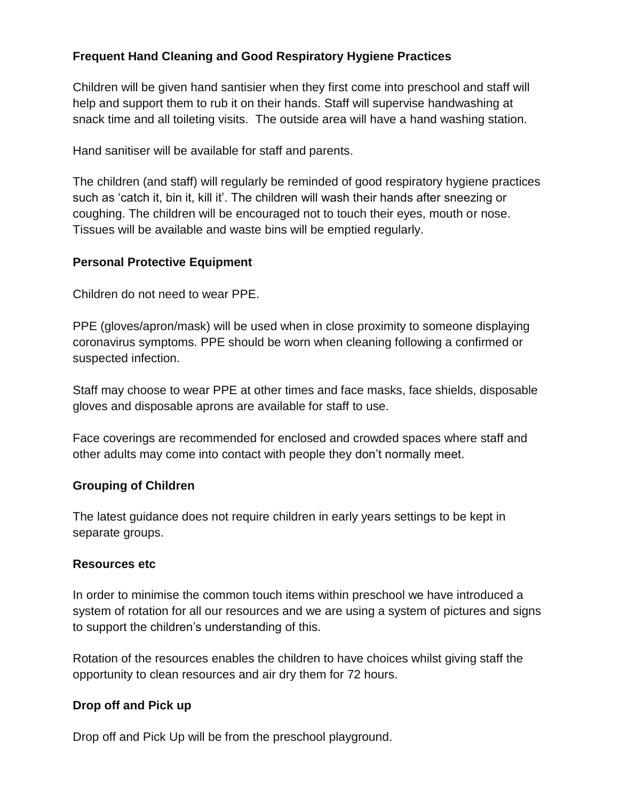## **Frequent Hand Cleaning and Good Respiratory Hygiene Practices**

Children will be given hand santisier when they first come into preschool and staff will help and support them to rub it on their hands. Staff will supervise handwashing at snack time and all toileting visits. The outside area will have a hand washing station.

Hand sanitiser will be available for staff and parents.

The children (and staff) will regularly be reminded of good respiratory hygiene practices such as 'catch it, bin it, kill it'. The children will wash their hands after sneezing or coughing. The children will be encouraged not to touch their eyes, mouth or nose. Tissues will be available and waste bins will be emptied regularly.

### **Personal Protective Equipment**

Children do not need to wear PPE.

PPE (gloves/apron/mask) will be used when in close proximity to someone displaying coronavirus symptoms. PPE should be worn when cleaning following a confirmed or suspected infection.

Staff may choose to wear PPE at other times and face masks, face shields, disposable gloves and disposable aprons are available for staff to use.

Face coverings are recommended for enclosed and crowded spaces where staff and other adults may come into contact with people they don't normally meet.

#### **Grouping of Children**

The latest guidance does not require children in early years settings to be kept in separate groups.

#### **Resources etc**

In order to minimise the common touch items within preschool we have introduced a system of rotation for all our resources and we are using a system of pictures and signs to support the children's understanding of this.

Rotation of the resources enables the children to have choices whilst giving staff the opportunity to clean resources and air dry them for 72 hours.

### **Drop off and Pick up**

Drop off and Pick Up will be from the preschool playground.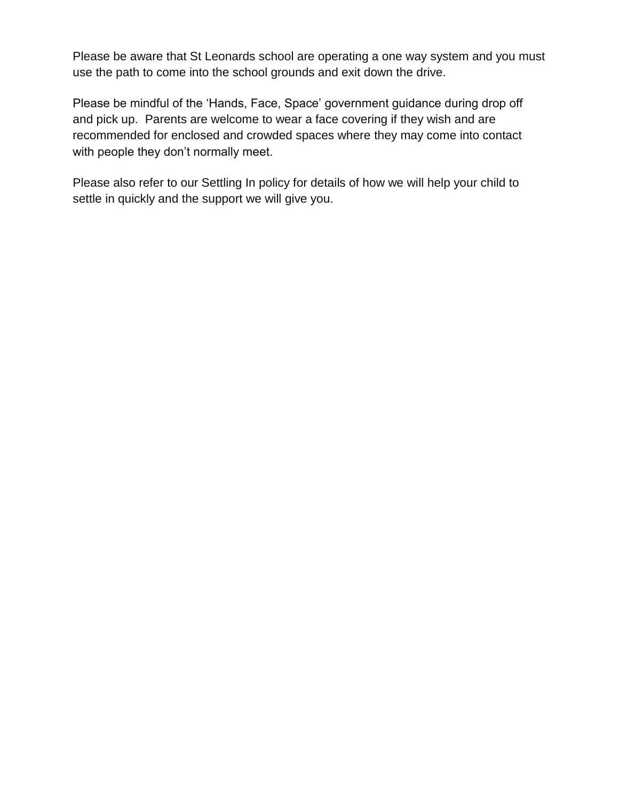Please be aware that St Leonards school are operating a one way system and you must use the path to come into the school grounds and exit down the drive.

Please be mindful of the 'Hands, Face, Space' government guidance during drop off and pick up. Parents are welcome to wear a face covering if they wish and are recommended for enclosed and crowded spaces where they may come into contact with people they don't normally meet.

Please also refer to our Settling In policy for details of how we will help your child to settle in quickly and the support we will give you.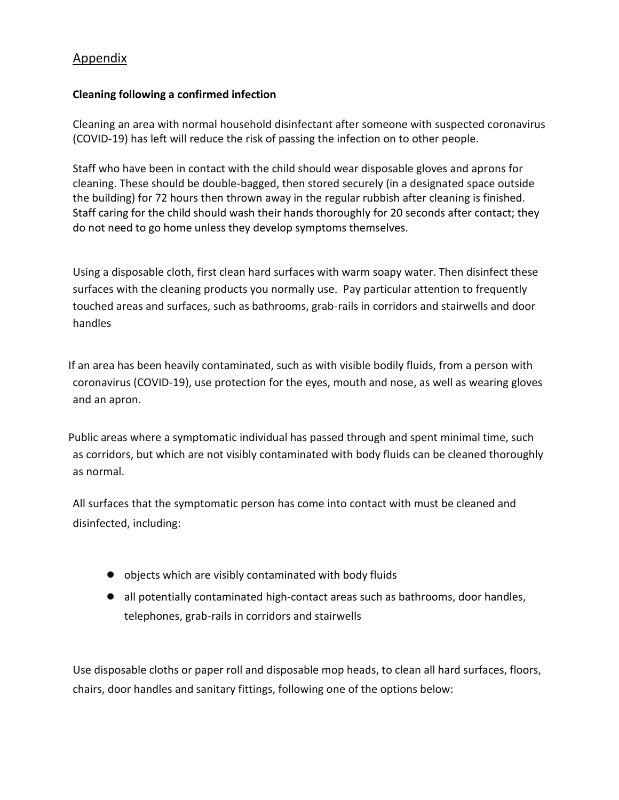# Appendix

#### **Cleaning following a confirmed infection**

Cleaning an area with normal household disinfectant after someone with suspected coronavirus (COVID-19) has left will reduce the risk of passing the infection on to other people.

Staff who have been in contact with the child should wear disposable gloves and aprons for cleaning. These should be double-bagged, then stored securely (in a designated space outside the building) for 72 hours then thrown away in the regular rubbish after cleaning is finished. Staff caring for the child should wash their hands thoroughly for 20 seconds after contact; they do not need to go home unless they develop symptoms themselves.

Using a disposable cloth, first clean hard surfaces with warm soapy water. Then disinfect these surfaces with the cleaning products you normally use. Pay particular attention to frequently touched areas and surfaces, such as bathrooms, grab-rails in corridors and stairwells and door handles

 If an area has been heavily contaminated, such as with visible bodily fluids, from a person with coronavirus (COVID-19), use protection for the eyes, mouth and nose, as well as wearing gloves and an apron.

 Public areas where a symptomatic individual has passed through and spent minimal time, such as corridors, but which are not visibly contaminated with body fluids can be cleaned thoroughly as normal.

All surfaces that the symptomatic person has come into contact with must be cleaned and disinfected, including:

- objects which are visibly contaminated with body fluids
- all potentially contaminated high-contact areas such as bathrooms, door handles, telephones, grab-rails in corridors and stairwells

Use disposable cloths or paper roll and disposable mop heads, to clean all hard surfaces, floors, chairs, door handles and sanitary fittings, following one of the options below: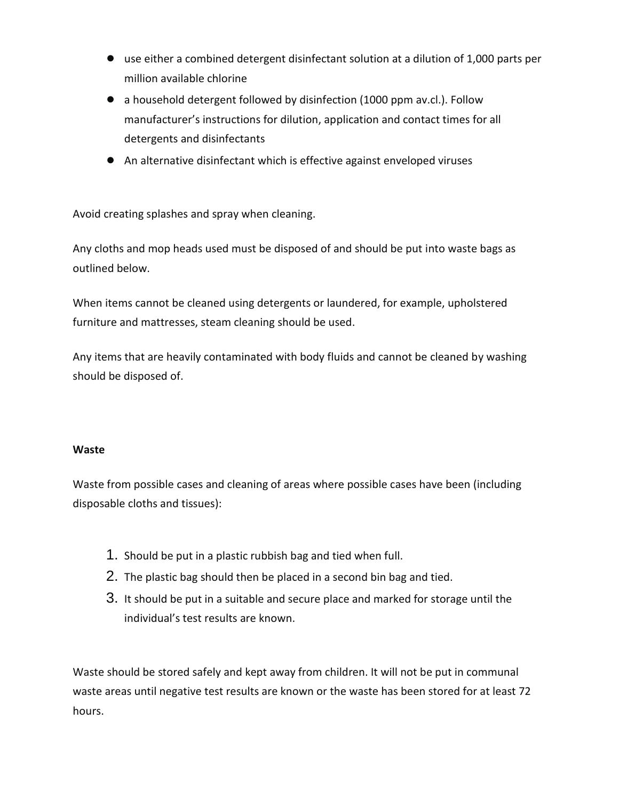- use either a combined detergent disinfectant solution at a dilution of 1,000 parts per million available chlorine
- a household detergent followed by disinfection (1000 ppm av.cl.). Follow manufacturer's instructions for dilution, application and contact times for all detergents and disinfectants
- An alternative disinfectant which is effective against enveloped viruses

Avoid creating splashes and spray when cleaning.

Any cloths and mop heads used must be disposed of and should be put into waste bags as outlined below.

When items cannot be cleaned using detergents or laundered, for example, upholstered furniture and mattresses, steam cleaning should be used.

Any items that are heavily contaminated with body fluids and cannot be cleaned by washing should be disposed of.

#### **Waste**

Waste from possible cases and cleaning of areas where possible cases have been (including disposable cloths and tissues):

- 1. Should be put in a plastic rubbish bag and tied when full.
- 2. The plastic bag should then be placed in a second bin bag and tied.
- 3. It should be put in a suitable and secure place and marked for storage until the individual's test results are known.

Waste should be stored safely and kept away from children. It will not be put in communal waste areas until negative test results are known or the waste has been stored for at least 72 hours.